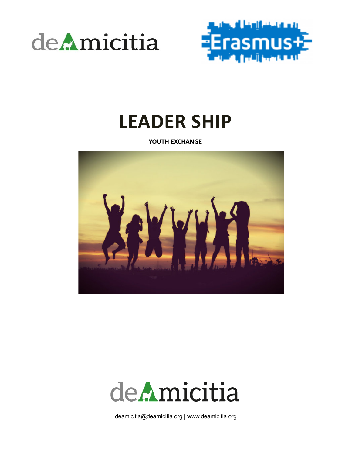



# **LEADER SHIP**

**YOUTH EXCHANGE**



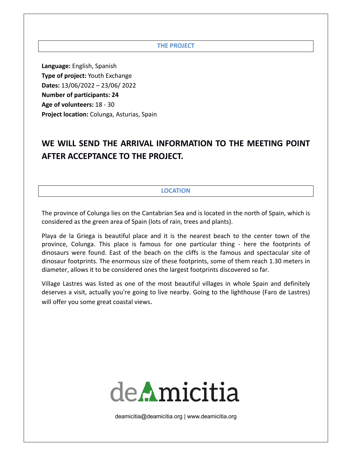#### **THE PROJECT**

**Language:** English, Spanish **Type of project:** Youth Exchange **Dates:** 13/06/2022 – 23/06/ 2022 **Number of participants: 24 Age of volunteers:** 18 - 30 **Project location:** Colunga, Asturias, Spain

# **WE WILL SEND THE ARRIVAL INFORMATION TO THE MEETING POINT AFTER ACCEPTANCE TO THE PROJECT.**

#### **LOCATION**

The province of Colunga lies on the Cantabrian Sea and is located in the north of Spain, which is considered as the green area of Spain (lots of rain, trees and plants).

Playa de la Griega is beautiful place and it is the nearest beach to the center town of the province, Colunga. This place is famous for one particular thing - here the footprints of dinosaurs were found. East of the beach on the cliffs is the famous and spectacular site of dinosaur footprints. The enormous size of these footprints, some of them reach 1.30 meters in diameter, allows it to be considered ones the largest footprints discovered so far.

Village Lastres was listed as one of the most beautiful villages in whole Spain and definitely deserves a visit, actually you're going to live nearby. Going to the lighthouse (Faro de Lastres) will offer you some great coastal views.

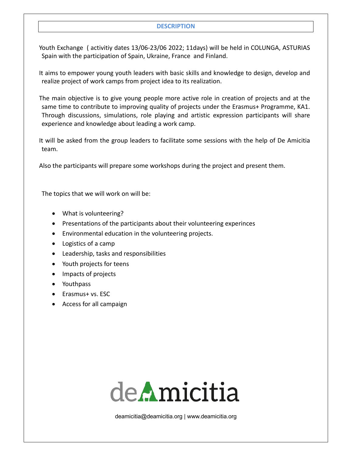#### **DESCRIPTION**

 Youth Exchange ( activitiy dates 13/06-23/06 2022; 11days) will be held in COLUNGA, ASTURIAS Spain with the participation of Spain, Ukraine, France and Finland.

 It aims to empower young youth leaders with basic skills and knowledge to design, develop and realize project of work camps from project idea to its realization.

 The main objective is to give young people more active role in creation of projects and at the same time to contribute to improving quality of projects under the Erasmus+ Programme, KA1. Through discussions, simulations, role playing and artistic expression participants will share experience and knowledge about leading a work camp.

 It will be asked from the group leaders to facilitate some sessions with the help of De Amicitia team.

Also the participants will prepare some workshops during the project and present them.

The topics that we will work on will be:

- What is volunteering?
- Presentations of the participants about their volunteering experinces
- Environmental education in the volunteering projects.
- Logistics of a camp
- Leadership, tasks and responsibilities
- Youth projects for teens
- Impacts of projects
- Youthpass
- Erasmus+ vs. ESC
- Access for all campaign

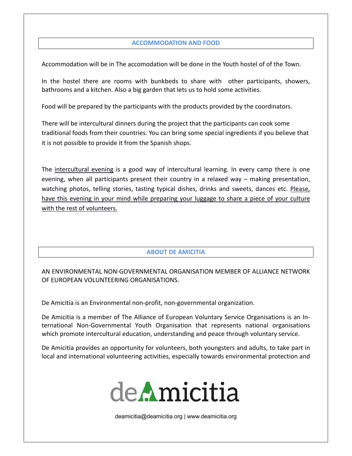# **ACCOMMODATION AND FOOD**

Accommodation will be in The accomodation will be done in the Youth hostel of of the Town.

In the hostel there are rooms with bunkbeds to share with other participants, showers, bathrooms and a kitchen. Also a big garden that lets us to hold some activities.

Food will be prepared by the participants with the products provided by the coordinators.

There will be intercultural dinners during the project that the participants can cook some traditional foods from their countries. You can bring some special ingredients if you believe that it is not possible to provide it from the Spanish shops.

The intercultural evening is a good way of intercultural learning. In every camp there is one evening, when all participants present their country in a relaxed way – making presentation, watching photos, telling stories, tasting typical dishes, drinks and sweets, dances etc. Please, have this evening in your mind while preparing your luggage to share a piece of your culture with the rest of volunteers.

# **ABOUT DE AMICITIA**

AN ENVIRONMENTAL NON-GOVERNMENTAL ORGANISATION MEMBER OF ALLIANCE NETWORK OF EUROPEAN VOLUNTEERING ORGANISATIONS.

De Amicitia is an Environmental non-profit, non-governmental organization.

De Amicitia is a member of The Alliance of European Voluntary Service Organisations is an International Non-Governmental Youth Organisation that represents national organisations which promote intercultural education, understanding and peace through voluntary service.

De Amicitia provides an opportunity for volunteers, both youngsters and adults, to take part in local and international volunteering activities, especially towards environmental protection and